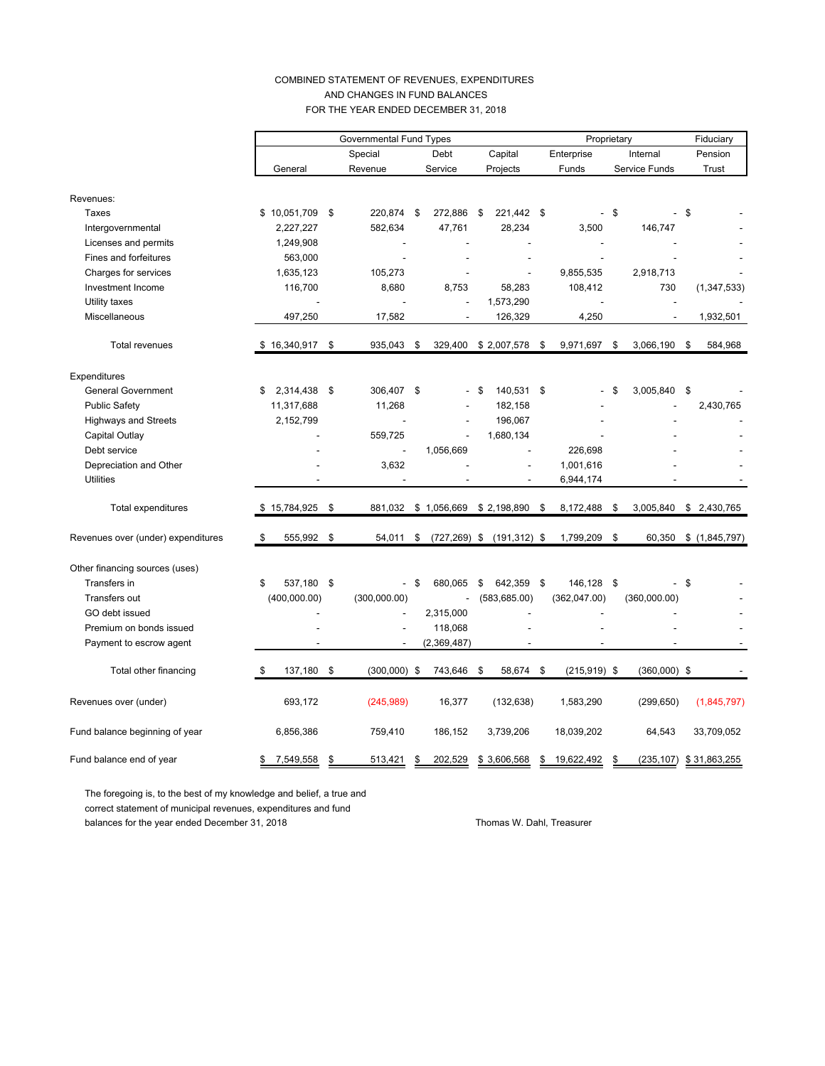### COMBINED STATEMENT OF REVENUES, EXPENDITURES AND CHANGES IN FUND BALANCES FOR THE YEAR ENDED DECEMBER 31, 2018

|                                    |    | <b>Governmental Fund Types</b> |         |                          |      |                 | Proprietary |                 |            |                |          | Fiduciary      |      |               |
|------------------------------------|----|--------------------------------|---------|--------------------------|------|-----------------|-------------|-----------------|------------|----------------|----------|----------------|------|---------------|
|                                    |    |                                | Special |                          | Debt |                 | Capital     |                 | Enterprise |                | Internal |                |      | Pension       |
|                                    |    | General                        |         | Revenue                  |      | Service         |             | Projects        |            | Funds          |          | Service Funds  |      | Trust         |
|                                    |    |                                |         |                          |      |                 |             |                 |            |                |          |                |      |               |
| Revenues:                          |    |                                |         |                          |      |                 |             |                 |            |                |          |                |      |               |
| Taxes                              |    | \$10,051,709                   | \$      | 220,874                  | \$   | 272,886         | \$          | 221,442 \$      |            |                | - \$     |                | \$   |               |
| Intergovernmental                  |    | 2,227,227                      |         | 582,634                  |      | 47,761          |             | 28,234          |            | 3,500          |          | 146,747        |      |               |
| Licenses and permits               |    | 1,249,908                      |         |                          |      |                 |             |                 |            |                |          |                |      |               |
| Fines and forfeitures              |    | 563,000                        |         |                          |      |                 |             |                 |            |                |          |                |      |               |
| Charges for services               |    | 1,635,123                      |         | 105,273                  |      |                 |             |                 |            | 9,855,535      |          | 2,918,713      |      |               |
| Investment Income                  |    | 116,700                        |         | 8,680                    |      | 8,753           |             | 58,283          |            | 108,412        |          | 730            |      | (1, 347, 533) |
| Utility taxes                      |    |                                |         |                          |      |                 |             | 1,573,290       |            |                |          |                |      |               |
| Miscellaneous                      |    | 497,250                        |         | 17,582                   |      |                 |             | 126,329         |            | 4,250          |          |                |      | 1,932,501     |
| <b>Total revenues</b>              |    | $$16,340,917$ \$               |         | 935,043                  | \$   | 329,400         |             | \$2,007,578 \$  |            | 9,971,697      | \$       | 3,066,190      | - \$ | 584,968       |
| Expenditures                       |    |                                |         |                          |      |                 |             |                 |            |                |          |                |      |               |
| <b>General Government</b>          | \$ | 2,314,438                      | \$      | 306,407                  | \$   |                 | - \$        | 140,531 \$      |            |                | \$       | 3,005,840 \$   |      |               |
| <b>Public Safety</b>               |    | 11,317,688                     |         | 11,268                   |      |                 |             | 182,158         |            |                |          |                |      | 2,430,765     |
| <b>Highways and Streets</b>        |    | 2,152,799                      |         |                          |      |                 |             | 196,067         |            |                |          |                |      |               |
| Capital Outlay                     |    |                                |         | 559,725                  |      |                 |             | 1,680,134       |            |                |          |                |      |               |
| Debt service                       |    |                                |         | L,                       |      | 1,056,669       |             |                 |            | 226,698        |          |                |      |               |
| Depreciation and Other             |    |                                |         | 3,632                    |      |                 |             |                 |            | 1,001,616      |          |                |      |               |
| <b>Utilities</b>                   |    |                                |         |                          |      |                 |             |                 |            | 6,944,174      |          |                |      |               |
|                                    |    |                                |         |                          |      |                 |             |                 |            |                |          |                |      |               |
| Total expenditures                 |    | \$15,784,925                   | \$      | 881,032                  |      | \$1,056,669     |             | \$2,198,890     | \$         | 8,172,488      | \$       | 3,005,840      |      | \$2,430,765   |
| Revenues over (under) expenditures | \$ | 555,992                        | \$      | 54,011                   | \$   | $(727, 269)$ \$ |             | $(191, 312)$ \$ |            | 1,799,209      | \$       | 60,350         |      | \$(1,845,797) |
| Other financing sources (uses)     |    |                                |         |                          |      |                 |             |                 |            |                |          |                |      |               |
| Transfers in                       | \$ | 537,180 \$                     |         | $\overline{\phantom{0}}$ | \$   | 680,065         | \$          | 642,359         | \$         | 146,128        | \$       |                | - \$ |               |
| Transfers out                      |    | (400,000.00)                   |         | (300,000.00)             |      |                 |             | (583, 685.00)   |            | (362,047.00)   |          | (360,000.00)   |      |               |
| GO debt issued                     |    |                                |         |                          |      | 2,315,000       |             |                 |            |                |          |                |      |               |
| Premium on bonds issued            |    |                                |         |                          |      | 118,068         |             |                 |            |                |          |                |      |               |
| Payment to escrow agent            |    |                                |         | $\overline{a}$           |      | (2,369,487)     |             |                 |            |                |          |                |      |               |
|                                    |    |                                |         |                          |      |                 |             |                 |            |                |          |                |      |               |
| Total other financing              | \$ | 137,180                        | -\$     | $(300,000)$ \$           |      | 743,646 \$      |             | 58,674 \$       |            | $(215,919)$ \$ |          | $(360,000)$ \$ |      |               |
| Revenues over (under)              |    | 693,172                        |         | (245,989)                |      | 16,377          |             | (132, 638)      |            | 1,583,290      |          | (299, 650)     |      | (1,845,797)   |
| Fund balance beginning of year     |    | 6,856,386                      |         | 759,410                  |      | 186,152         |             | 3,739,206       |            | 18,039,202     |          | 64,543         |      | 33,709,052    |
| Fund balance end of year           |    | 7,549,558                      | \$      | 513,421                  | \$   | 202,529         |             | \$3,606,568     |            | 19,622,492     | \$       | (235, 107)     |      | \$31,863,255  |

The foregoing is, to the best of my knowledge and belief, a true and correct statement of municipal revenues, expenditures and fund balances for the year ended December 31, 2018 Thomas W. Dahl, Treasurer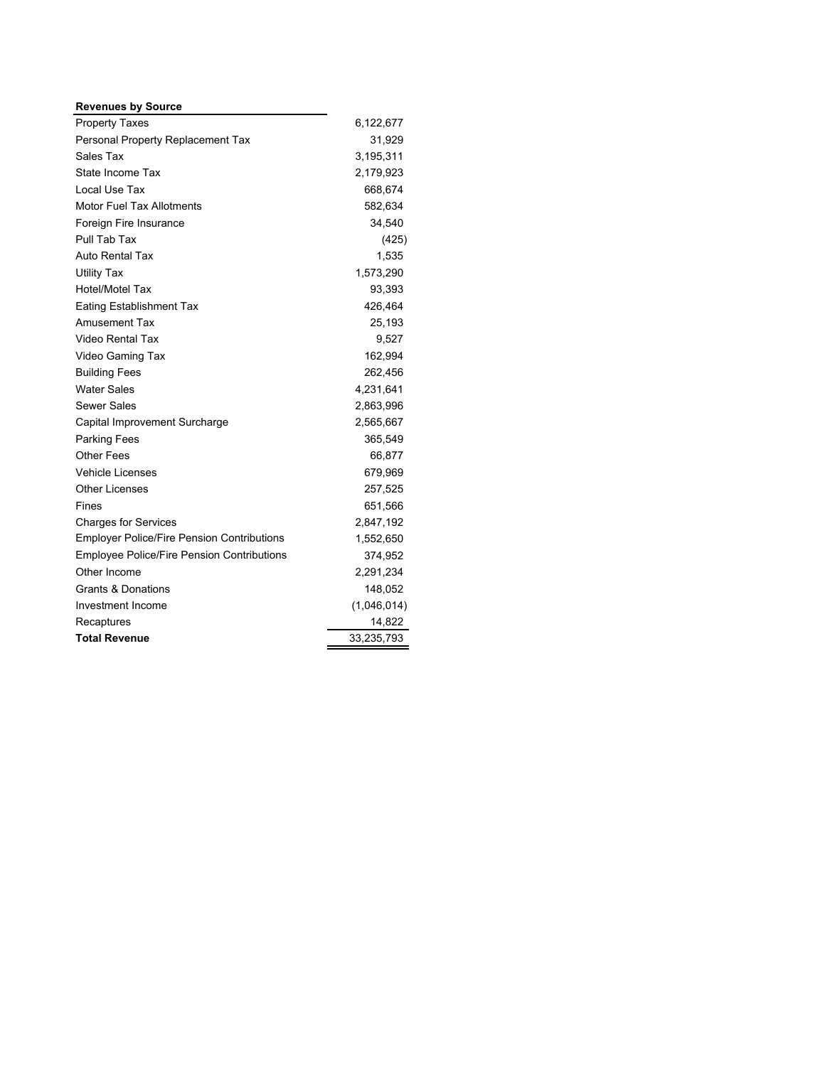| <b>Revenues by Source</b>                         |             |
|---------------------------------------------------|-------------|
| <b>Property Taxes</b>                             | 6,122,677   |
| Personal Property Replacement Tax                 | 31,929      |
| Sales Tax                                         | 3,195,311   |
| State Income Tax                                  | 2,179,923   |
| Local Use Tax                                     | 668,674     |
| <b>Motor Fuel Tax Allotments</b>                  | 582,634     |
| Foreign Fire Insurance                            | 34,540      |
| Pull Tab Tax                                      | (425)       |
| Auto Rental Tax                                   | 1,535       |
| <b>Utility Tax</b>                                | 1,573,290   |
| <b>Hotel/Motel Tax</b>                            | 93,393      |
| <b>Eating Establishment Tax</b>                   | 426,464     |
| <b>Amusement Tax</b>                              | 25,193      |
| Video Rental Tax                                  | 9,527       |
| Video Gaming Tax                                  | 162,994     |
| <b>Building Fees</b>                              | 262,456     |
| <b>Water Sales</b>                                | 4,231,641   |
| <b>Sewer Sales</b>                                | 2,863,996   |
| Capital Improvement Surcharge                     | 2,565,667   |
| Parking Fees                                      | 365,549     |
| Other Fees                                        | 66,877      |
| <b>Vehicle Licenses</b>                           | 679,969     |
| <b>Other Licenses</b>                             | 257,525     |
| Fines                                             | 651,566     |
| <b>Charges for Services</b>                       | 2,847,192   |
| <b>Employer Police/Fire Pension Contributions</b> | 1,552,650   |
| <b>Employee Police/Fire Pension Contributions</b> | 374,952     |
| Other Income                                      | 2,291,234   |
| <b>Grants &amp; Donations</b>                     | 148,052     |
| Investment Income                                 | (1,046,014) |
| Recaptures                                        | 14,822      |
| <b>Total Revenue</b>                              | 33,235,793  |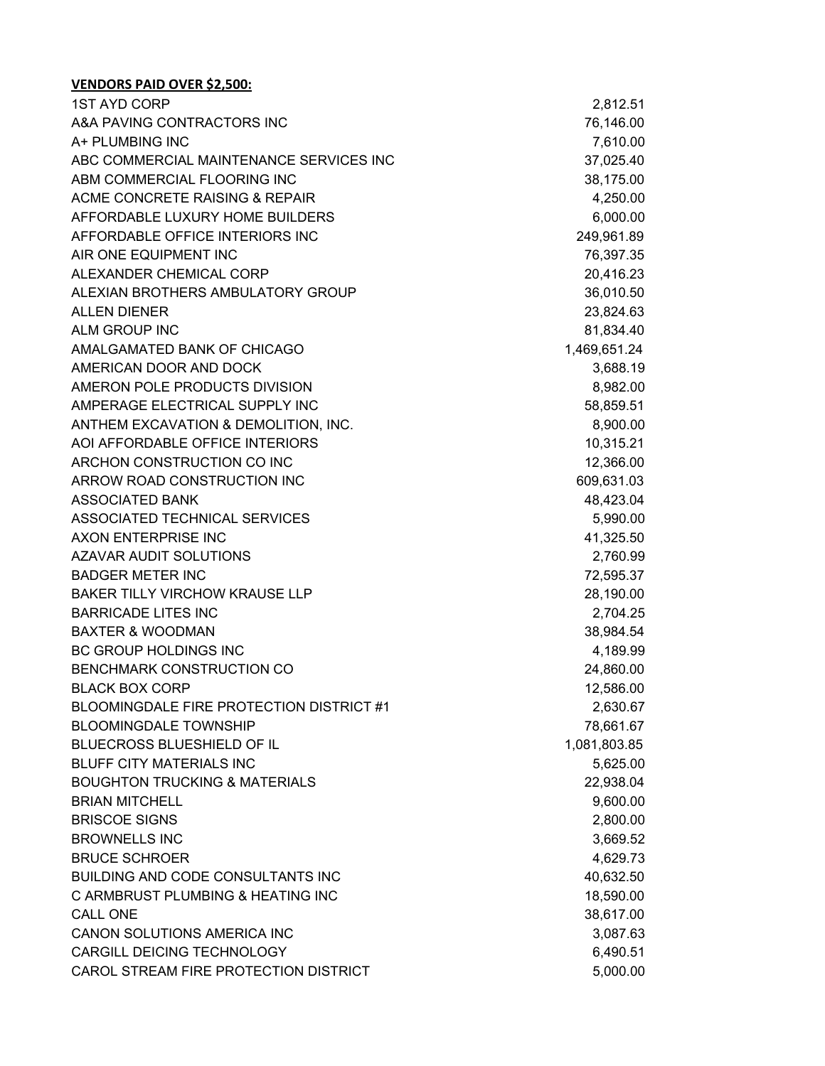| <b>1ST AYD CORP</b>                      | 2,812.51     |
|------------------------------------------|--------------|
| A&A PAVING CONTRACTORS INC               | 76,146.00    |
| A+ PLUMBING INC                          | 7,610.00     |
| ABC COMMERCIAL MAINTENANCE SERVICES INC  | 37,025.40    |
| ABM COMMERCIAL FLOORING INC              | 38,175.00    |
| ACME CONCRETE RAISING & REPAIR           | 4,250.00     |
| AFFORDABLE LUXURY HOME BUILDERS          | 6,000.00     |
| AFFORDABLE OFFICE INTERIORS INC          | 249,961.89   |
| AIR ONE EQUIPMENT INC                    | 76,397.35    |
| ALEXANDER CHEMICAL CORP                  | 20,416.23    |
| ALEXIAN BROTHERS AMBULATORY GROUP        | 36,010.50    |
| <b>ALLEN DIENER</b>                      | 23,824.63    |
| ALM GROUP INC                            | 81,834.40    |
| AMALGAMATED BANK OF CHICAGO              | 1,469,651.24 |
| AMERICAN DOOR AND DOCK                   | 3,688.19     |
| AMERON POLE PRODUCTS DIVISION            | 8,982.00     |
| AMPERAGE ELECTRICAL SUPPLY INC           | 58,859.51    |
| ANTHEM EXCAVATION & DEMOLITION, INC.     | 8,900.00     |
| AOI AFFORDABLE OFFICE INTERIORS          | 10,315.21    |
| ARCHON CONSTRUCTION CO INC               | 12,366.00    |
| ARROW ROAD CONSTRUCTION INC              | 609,631.03   |
| <b>ASSOCIATED BANK</b>                   | 48,423.04    |
| ASSOCIATED TECHNICAL SERVICES            | 5,990.00     |
| AXON ENTERPRISE INC                      | 41,325.50    |
| <b>AZAVAR AUDIT SOLUTIONS</b>            | 2,760.99     |
| <b>BADGER METER INC</b>                  | 72,595.37    |
| <b>BAKER TILLY VIRCHOW KRAUSE LLP</b>    | 28,190.00    |
| <b>BARRICADE LITES INC</b>               | 2,704.25     |
| <b>BAXTER &amp; WOODMAN</b>              | 38,984.54    |
| BC GROUP HOLDINGS INC                    | 4,189.99     |
| <b>BENCHMARK CONSTRUCTION CO</b>         | 24,860.00    |
| <b>BLACK BOX CORP</b>                    | 12,586.00    |
| BLOOMINGDALE FIRE PROTECTION DISTRICT #1 | 2,630.67     |
| <b>BLOOMINGDALE TOWNSHIP</b>             | 78,661.67    |
| BLUECROSS BLUESHIELD OF IL               | 1,081,803.85 |
| <b>BLUFF CITY MATERIALS INC</b>          | 5,625.00     |
| <b>BOUGHTON TRUCKING &amp; MATERIALS</b> | 22,938.04    |
| <b>BRIAN MITCHELL</b>                    | 9,600.00     |
| <b>BRISCOE SIGNS</b>                     | 2,800.00     |
| <b>BROWNELLS INC</b>                     | 3,669.52     |
| <b>BRUCE SCHROER</b>                     | 4,629.73     |
| BUILDING AND CODE CONSULTANTS INC        | 40,632.50    |
| C ARMBRUST PLUMBING & HEATING INC        | 18,590.00    |
| <b>CALL ONE</b>                          | 38,617.00    |
| <b>CANON SOLUTIONS AMERICA INC</b>       | 3,087.63     |
| CARGILL DEICING TECHNOLOGY               | 6,490.51     |
| CAROL STREAM FIRE PROTECTION DISTRICT    | 5,000.00     |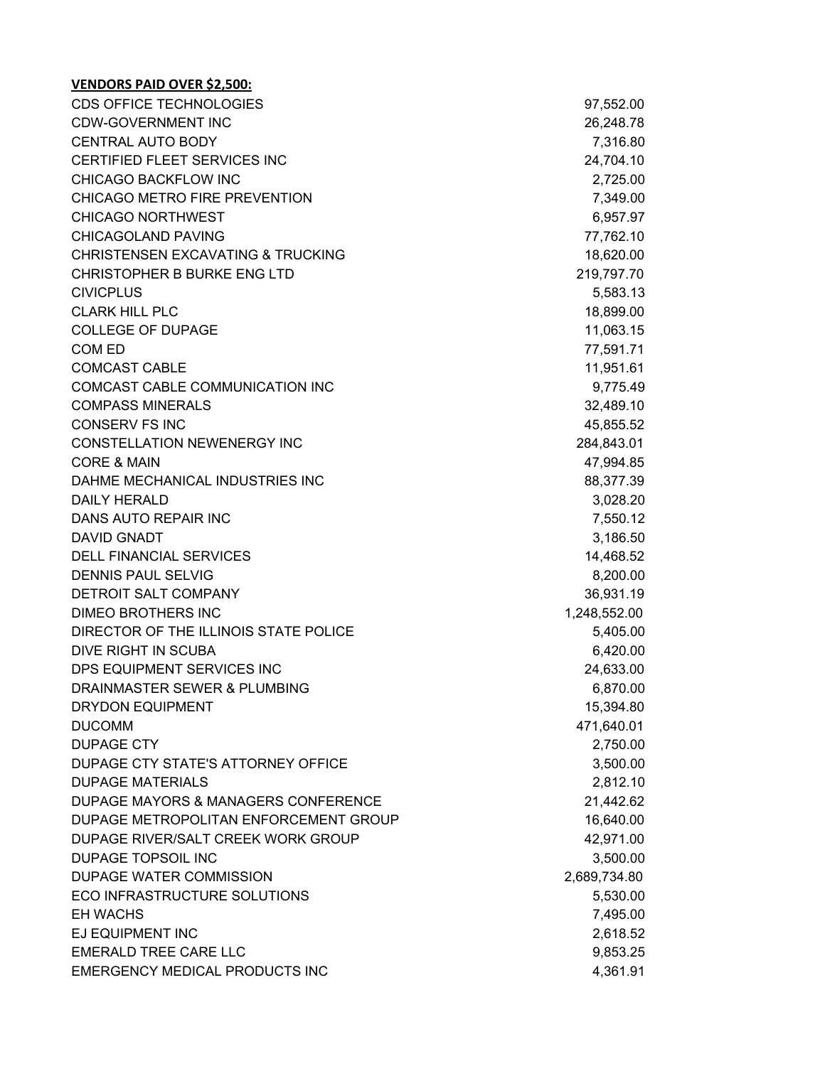| <b>CDS OFFICE TECHNOLOGIES</b>               | 97,552.00    |
|----------------------------------------------|--------------|
| <b>CDW-GOVERNMENT INC</b>                    | 26,248.78    |
| <b>CENTRAL AUTO BODY</b>                     | 7,316.80     |
| CERTIFIED FLEET SERVICES INC                 | 24,704.10    |
| CHICAGO BACKFLOW INC                         | 2,725.00     |
| CHICAGO METRO FIRE PREVENTION                | 7,349.00     |
| <b>CHICAGO NORTHWEST</b>                     | 6,957.97     |
| <b>CHICAGOLAND PAVING</b>                    | 77,762.10    |
| <b>CHRISTENSEN EXCAVATING &amp; TRUCKING</b> | 18,620.00    |
| <b>CHRISTOPHER B BURKE ENG LTD</b>           | 219,797.70   |
| <b>CIVICPLUS</b>                             | 5,583.13     |
| <b>CLARK HILL PLC</b>                        | 18,899.00    |
| <b>COLLEGE OF DUPAGE</b>                     | 11,063.15    |
| COM ED                                       | 77,591.71    |
| <b>COMCAST CABLE</b>                         | 11,951.61    |
| COMCAST CABLE COMMUNICATION INC              | 9,775.49     |
| <b>COMPASS MINERALS</b>                      | 32,489.10    |
| <b>CONSERV FS INC</b>                        | 45,855.52    |
| <b>CONSTELLATION NEWENERGY INC</b>           | 284,843.01   |
| <b>CORE &amp; MAIN</b>                       | 47,994.85    |
| DAHME MECHANICAL INDUSTRIES INC              | 88,377.39    |
| <b>DAILY HERALD</b>                          | 3,028.20     |
| DANS AUTO REPAIR INC                         | 7,550.12     |
| DAVID GNADT                                  | 3,186.50     |
| <b>DELL FINANCIAL SERVICES</b>               | 14,468.52    |
| <b>DENNIS PAUL SELVIG</b>                    | 8,200.00     |
| DETROIT SALT COMPANY                         | 36,931.19    |
| <b>DIMEO BROTHERS INC</b>                    | 1,248,552.00 |
| DIRECTOR OF THE ILLINOIS STATE POLICE        | 5,405.00     |
| DIVE RIGHT IN SCUBA                          | 6,420.00     |
| DPS EQUIPMENT SERVICES INC                   | 24,633.00    |
| DRAINMASTER SEWER & PLUMBING                 | 6,870.00     |
| DRYDON EQUIPMENT                             | 15,394.80    |
| <b>DUCOMM</b>                                | 471,640.01   |
| <b>DUPAGE CTY</b>                            | 2,750.00     |
| DUPAGE CTY STATE'S ATTORNEY OFFICE           | 3,500.00     |
| <b>DUPAGE MATERIALS</b>                      | 2,812.10     |
| DUPAGE MAYORS & MANAGERS CONFERENCE          | 21,442.62    |
| DUPAGE METROPOLITAN ENFORCEMENT GROUP        | 16,640.00    |
| DUPAGE RIVER/SALT CREEK WORK GROUP           | 42,971.00    |
| <b>DUPAGE TOPSOIL INC</b>                    | 3,500.00     |
| DUPAGE WATER COMMISSION                      | 2,689,734.80 |
| ECO INFRASTRUCTURE SOLUTIONS                 | 5,530.00     |
| <b>EH WACHS</b>                              | 7,495.00     |
| EJ EQUIPMENT INC                             | 2,618.52     |
| <b>EMERALD TREE CARE LLC</b>                 | 9,853.25     |
| EMERGENCY MEDICAL PRODUCTS INC               | 4,361.91     |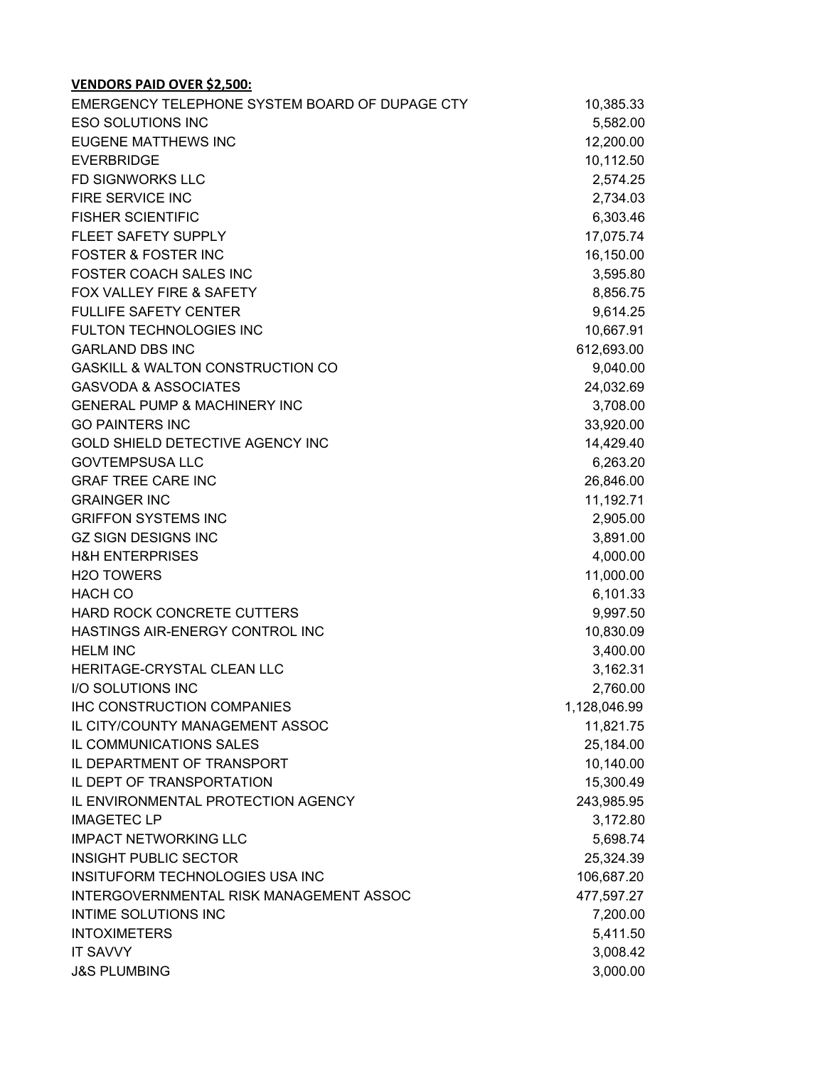| EMERGENCY TELEPHONE SYSTEM BOARD OF DUPAGE CTY | 10,385.33    |
|------------------------------------------------|--------------|
| <b>ESO SOLUTIONS INC</b>                       | 5,582.00     |
| <b>EUGENE MATTHEWS INC</b>                     | 12,200.00    |
| <b>EVERBRIDGE</b>                              | 10,112.50    |
| <b>FD SIGNWORKS LLC</b>                        | 2,574.25     |
| FIRE SERVICE INC                               | 2,734.03     |
| <b>FISHER SCIENTIFIC</b>                       | 6,303.46     |
| FLEET SAFETY SUPPLY                            | 17,075.74    |
| <b>FOSTER &amp; FOSTER INC</b>                 | 16,150.00    |
| FOSTER COACH SALES INC                         | 3,595.80     |
| FOX VALLEY FIRE & SAFETY                       | 8,856.75     |
| <b>FULLIFE SAFETY CENTER</b>                   | 9,614.25     |
| FULTON TECHNOLOGIES INC                        | 10,667.91    |
| <b>GARLAND DBS INC</b>                         | 612,693.00   |
| <b>GASKILL &amp; WALTON CONSTRUCTION CO</b>    | 9,040.00     |
| <b>GASVODA &amp; ASSOCIATES</b>                | 24,032.69    |
| <b>GENERAL PUMP &amp; MACHINERY INC</b>        | 3,708.00     |
| <b>GO PAINTERS INC</b>                         | 33,920.00    |
| GOLD SHIELD DETECTIVE AGENCY INC               | 14,429.40    |
| <b>GOVTEMPSUSA LLC</b>                         | 6,263.20     |
| <b>GRAF TREE CARE INC</b>                      | 26,846.00    |
| <b>GRAINGER INC</b>                            | 11,192.71    |
| <b>GRIFFON SYSTEMS INC</b>                     | 2,905.00     |
| <b>GZ SIGN DESIGNS INC</b>                     | 3,891.00     |
| <b>H&amp;H ENTERPRISES</b>                     | 4,000.00     |
| H <sub>2</sub> O TOWERS                        | 11,000.00    |
| <b>HACH CO</b>                                 | 6,101.33     |
| HARD ROCK CONCRETE CUTTERS                     | 9,997.50     |
| HASTINGS AIR-ENERGY CONTROL INC                | 10,830.09    |
| <b>HELM INC</b>                                | 3,400.00     |
| HERITAGE-CRYSTAL CLEAN LLC                     | 3,162.31     |
| I/O SOLUTIONS INC                              | 2,760.00     |
| <b>IHC CONSTRUCTION COMPANIES</b>              | 1,128,046.99 |
| IL CITY/COUNTY MANAGEMENT ASSOC                | 11,821.75    |
| IL COMMUNICATIONS SALES                        | 25,184.00    |
| IL DEPARTMENT OF TRANSPORT                     | 10,140.00    |
| IL DEPT OF TRANSPORTATION                      | 15,300.49    |
| IL ENVIRONMENTAL PROTECTION AGENCY             | 243,985.95   |
| <b>IMAGETEC LP</b>                             | 3,172.80     |
| <b>IMPACT NETWORKING LLC</b>                   | 5,698.74     |
| <b>INSIGHT PUBLIC SECTOR</b>                   | 25,324.39    |
| INSITUFORM TECHNOLOGIES USA INC                | 106,687.20   |
| INTERGOVERNMENTAL RISK MANAGEMENT ASSOC        | 477,597.27   |
| INTIME SOLUTIONS INC                           | 7,200.00     |
| <b>INTOXIMETERS</b>                            | 5,411.50     |
| <b>IT SAVVY</b>                                | 3,008.42     |
| <b>J&amp;S PLUMBING</b>                        | 3,000.00     |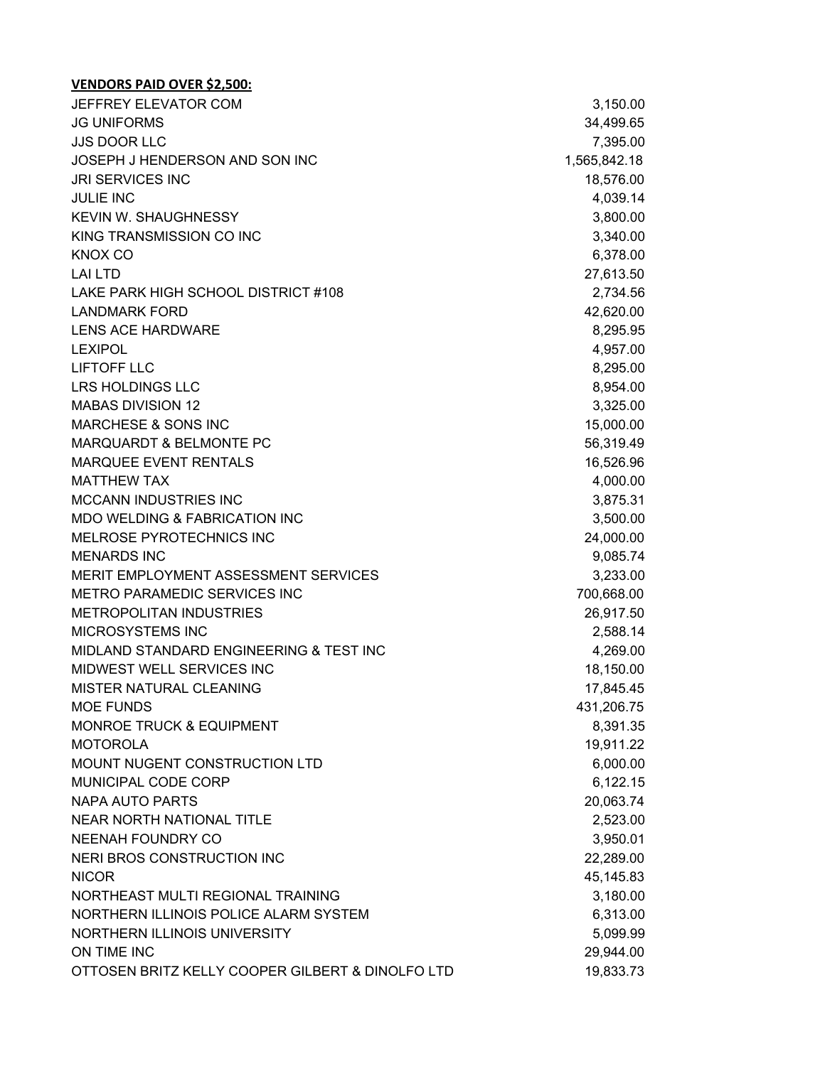| JEFFREY ELEVATOR COM                             | 3,150.00     |
|--------------------------------------------------|--------------|
| <b>JG UNIFORMS</b>                               | 34,499.65    |
| <b>JJS DOOR LLC</b>                              | 7,395.00     |
| JOSEPH J HENDERSON AND SON INC                   | 1,565,842.18 |
| <b>JRI SERVICES INC</b>                          | 18,576.00    |
| <b>JULIE INC</b>                                 | 4,039.14     |
| <b>KEVIN W. SHAUGHNESSY</b>                      | 3,800.00     |
| KING TRANSMISSION CO INC                         | 3,340.00     |
| <b>KNOX CO</b>                                   | 6,378.00     |
| <b>LAI LTD</b>                                   | 27,613.50    |
| LAKE PARK HIGH SCHOOL DISTRICT #108              | 2,734.56     |
| <b>LANDMARK FORD</b>                             | 42,620.00    |
| <b>LENS ACE HARDWARE</b>                         | 8,295.95     |
| <b>LEXIPOL</b>                                   | 4,957.00     |
| LIFTOFF LLC                                      | 8,295.00     |
| <b>LRS HOLDINGS LLC</b>                          | 8,954.00     |
| <b>MABAS DIVISION 12</b>                         | 3,325.00     |
| <b>MARCHESE &amp; SONS INC</b>                   | 15,000.00    |
| <b>MARQUARDT &amp; BELMONTE PC</b>               | 56,319.49    |
| MARQUEE EVENT RENTALS                            | 16,526.96    |
| <b>MATTHEW TAX</b>                               | 4,000.00     |
| <b>MCCANN INDUSTRIES INC</b>                     | 3,875.31     |
| MDO WELDING & FABRICATION INC                    | 3,500.00     |
| MELROSE PYROTECHNICS INC                         | 24,000.00    |
| <b>MENARDS INC</b>                               | 9,085.74     |
| MERIT EMPLOYMENT ASSESSMENT SERVICES             | 3,233.00     |
| METRO PARAMEDIC SERVICES INC                     | 700,668.00   |
| <b>METROPOLITAN INDUSTRIES</b>                   | 26,917.50    |
| MICROSYSTEMS INC                                 | 2,588.14     |
| MIDLAND STANDARD ENGINEERING & TEST INC          | 4,269.00     |
| MIDWEST WELL SERVICES INC                        | 18,150.00    |
| MISTER NATURAL CLEANING                          | 17,845.45    |
| <b>MOE FUNDS</b>                                 | 431,206.75   |
| <b>MONROE TRUCK &amp; EQUIPMENT</b>              | 8,391.35     |
| <b>MOTOROLA</b>                                  | 19,911.22    |
| MOUNT NUGENT CONSTRUCTION LTD                    | 6,000.00     |
| MUNICIPAL CODE CORP                              | 6,122.15     |
| <b>NAPA AUTO PARTS</b>                           | 20,063.74    |
| NEAR NORTH NATIONAL TITLE                        | 2,523.00     |
| <b>NEENAH FOUNDRY CO</b>                         | 3,950.01     |
| NERI BROS CONSTRUCTION INC                       | 22,289.00    |
| <b>NICOR</b>                                     | 45,145.83    |
| NORTHEAST MULTI REGIONAL TRAINING                | 3,180.00     |
| NORTHERN ILLINOIS POLICE ALARM SYSTEM            | 6,313.00     |
| NORTHERN ILLINOIS UNIVERSITY                     | 5,099.99     |
| ON TIME INC                                      | 29,944.00    |
| OTTOSEN BRITZ KELLY COOPER GILBERT & DINOLFO LTD | 19,833.73    |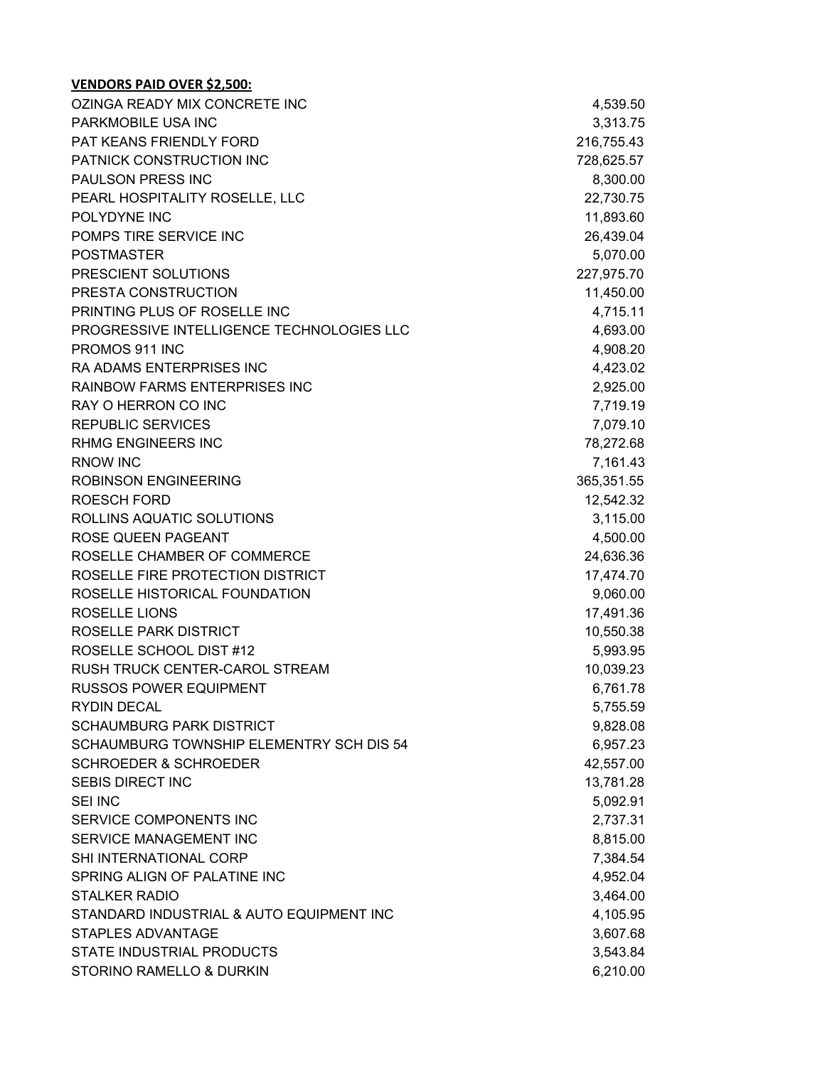| OZINGA READY MIX CONCRETE INC             | 4,539.50   |
|-------------------------------------------|------------|
| PARKMOBILE USA INC                        | 3,313.75   |
| PAT KEANS FRIENDLY FORD                   | 216,755.43 |
| PATNICK CONSTRUCTION INC                  | 728,625.57 |
| PAULSON PRESS INC                         | 8,300.00   |
| PEARL HOSPITALITY ROSELLE, LLC            | 22,730.75  |
| POLYDYNE INC                              | 11,893.60  |
| POMPS TIRE SERVICE INC                    | 26,439.04  |
| <b>POSTMASTER</b>                         | 5,070.00   |
| PRESCIENT SOLUTIONS                       | 227,975.70 |
| PRESTA CONSTRUCTION                       | 11,450.00  |
| PRINTING PLUS OF ROSELLE INC              | 4,715.11   |
| PROGRESSIVE INTELLIGENCE TECHNOLOGIES LLC | 4,693.00   |
| PROMOS 911 INC                            | 4,908.20   |
| <b>RA ADAMS ENTERPRISES INC</b>           | 4,423.02   |
| <b>RAINBOW FARMS ENTERPRISES INC</b>      | 2,925.00   |
| RAY O HERRON CO INC                       | 7,719.19   |
| <b>REPUBLIC SERVICES</b>                  | 7,079.10   |
| <b>RHMG ENGINEERS INC</b>                 | 78,272.68  |
| <b>RNOW INC</b>                           | 7,161.43   |
| <b>ROBINSON ENGINEERING</b>               | 365,351.55 |
| <b>ROESCH FORD</b>                        | 12,542.32  |
| ROLLINS AQUATIC SOLUTIONS                 | 3,115.00   |
| ROSE QUEEN PAGEANT                        | 4,500.00   |
| ROSELLE CHAMBER OF COMMERCE               | 24,636.36  |
| ROSELLE FIRE PROTECTION DISTRICT          | 17,474.70  |
| ROSELLE HISTORICAL FOUNDATION             | 9,060.00   |
| <b>ROSELLE LIONS</b>                      | 17,491.36  |
| ROSELLE PARK DISTRICT                     | 10,550.38  |
| ROSELLE SCHOOL DIST #12                   | 5,993.95   |
| RUSH TRUCK CENTER-CAROL STREAM            | 10,039.23  |
| <b>RUSSOS POWER EQUIPMENT</b>             | 6,761.78   |
| <b>RYDIN DECAL</b>                        | 5,755.59   |
| <b>SCHAUMBURG PARK DISTRICT</b>           | 9,828.08   |
| SCHAUMBURG TOWNSHIP ELEMENTRY SCH DIS 54  | 6,957.23   |
| <b>SCHROEDER &amp; SCHROEDER</b>          | 42,557.00  |
| <b>SEBIS DIRECT INC</b>                   | 13,781.28  |
| <b>SEI INC</b>                            | 5,092.91   |
| SERVICE COMPONENTS INC                    | 2,737.31   |
| SERVICE MANAGEMENT INC                    | 8,815.00   |
| SHI INTERNATIONAL CORP                    | 7,384.54   |
| SPRING ALIGN OF PALATINE INC              | 4,952.04   |
| <b>STALKER RADIO</b>                      | 3,464.00   |
| STANDARD INDUSTRIAL & AUTO EQUIPMENT INC  | 4,105.95   |
| <b>STAPLES ADVANTAGE</b>                  | 3,607.68   |
| STATE INDUSTRIAL PRODUCTS                 | 3,543.84   |
| STORINO RAMELLO & DURKIN                  | 6,210.00   |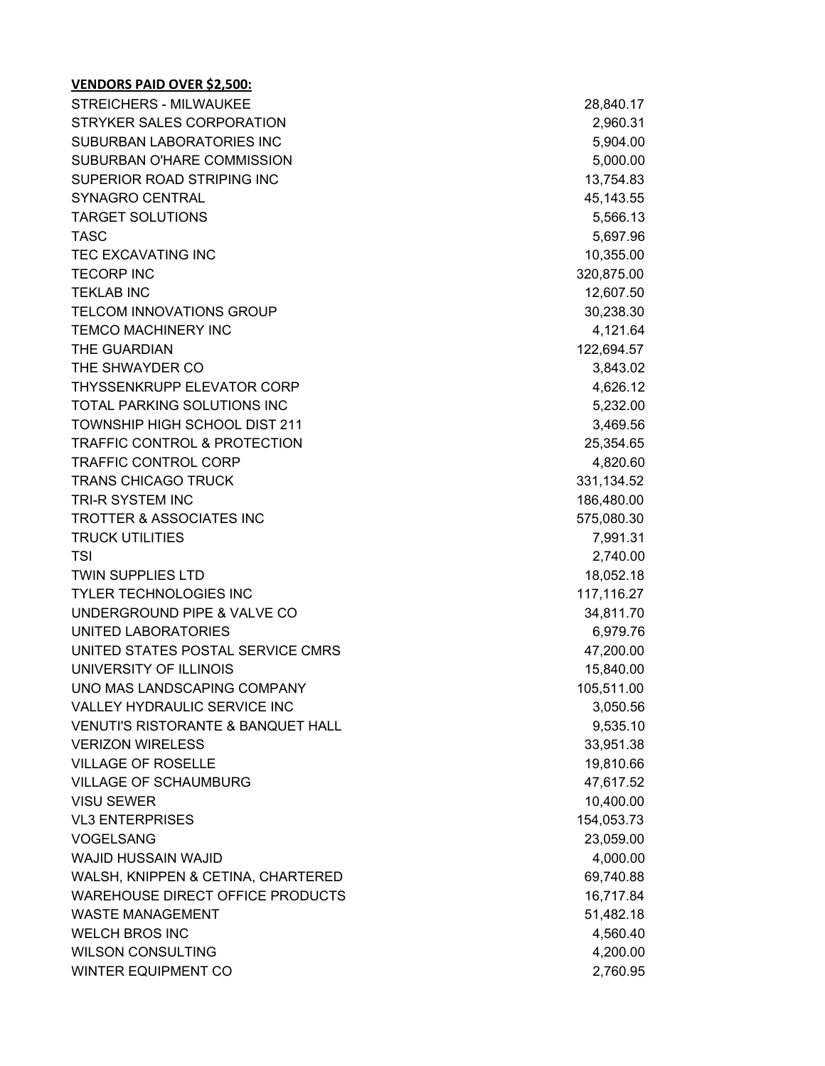| <b>STREICHERS - MILWAUKEE</b>                 | 28,840.17   |
|-----------------------------------------------|-------------|
| STRYKER SALES CORPORATION                     | 2,960.31    |
| SUBURBAN LABORATORIES INC                     | 5,904.00    |
| SUBURBAN O'HARE COMMISSION                    | 5,000.00    |
| SUPERIOR ROAD STRIPING INC                    | 13,754.83   |
| SYNAGRO CENTRAL                               | 45, 143.55  |
| <b>TARGET SOLUTIONS</b>                       | 5,566.13    |
| <b>TASC</b>                                   | 5,697.96    |
| <b>TEC EXCAVATING INC</b>                     | 10,355.00   |
| <b>TECORP INC</b>                             | 320,875.00  |
| <b>TEKLAB INC</b>                             | 12,607.50   |
| <b>TELCOM INNOVATIONS GROUP</b>               | 30,238.30   |
| <b>TEMCO MACHINERY INC</b>                    | 4,121.64    |
| THE GUARDIAN                                  | 122,694.57  |
| THE SHWAYDER CO                               | 3,843.02    |
| THYSSENKRUPP ELEVATOR CORP                    | 4,626.12    |
| TOTAL PARKING SOLUTIONS INC                   | 5,232.00    |
| <b>TOWNSHIP HIGH SCHOOL DIST 211</b>          | 3,469.56    |
| <b>TRAFFIC CONTROL &amp; PROTECTION</b>       | 25,354.65   |
| <b>TRAFFIC CONTROL CORP</b>                   | 4,820.60    |
| <b>TRANS CHICAGO TRUCK</b>                    | 331, 134.52 |
| TRI-R SYSTEM INC                              | 186,480.00  |
| <b>TROTTER &amp; ASSOCIATES INC</b>           | 575,080.30  |
| <b>TRUCK UTILITIES</b>                        | 7,991.31    |
| TSI                                           | 2,740.00    |
| <b>TWIN SUPPLIES LTD</b>                      | 18,052.18   |
| <b>TYLER TECHNOLOGIES INC</b>                 | 117,116.27  |
| UNDERGROUND PIPE & VALVE CO                   | 34,811.70   |
| UNITED LABORATORIES                           | 6,979.76    |
| UNITED STATES POSTAL SERVICE CMRS             | 47,200.00   |
| UNIVERSITY OF ILLINOIS                        | 15,840.00   |
| UNO MAS LANDSCAPING COMPANY                   | 105,511.00  |
| <b>VALLEY HYDRAULIC SERVICE INC</b>           | 3,050.56    |
| <b>VENUTI'S RISTORANTE &amp; BANQUET HALL</b> | 9,535.10    |
| <b>VERIZON WIRELESS</b>                       | 33,951.38   |
| <b>VILLAGE OF ROSELLE</b>                     | 19,810.66   |
| <b>VILLAGE OF SCHAUMBURG</b>                  | 47,617.52   |
| <b>VISU SEWER</b>                             | 10,400.00   |
| <b>VL3 ENTERPRISES</b>                        | 154,053.73  |
| <b>VOGELSANG</b>                              | 23,059.00   |
| <b>WAJID HUSSAIN WAJID</b>                    | 4,000.00    |
| WALSH, KNIPPEN & CETINA, CHARTERED            | 69,740.88   |
| <b>WAREHOUSE DIRECT OFFICE PRODUCTS</b>       | 16,717.84   |
| <b>WASTE MANAGEMENT</b>                       | 51,482.18   |
| <b>WELCH BROS INC</b>                         | 4,560.40    |
| <b>WILSON CONSULTING</b>                      | 4,200.00    |
| WINTER EQUIPMENT CO                           | 2,760.95    |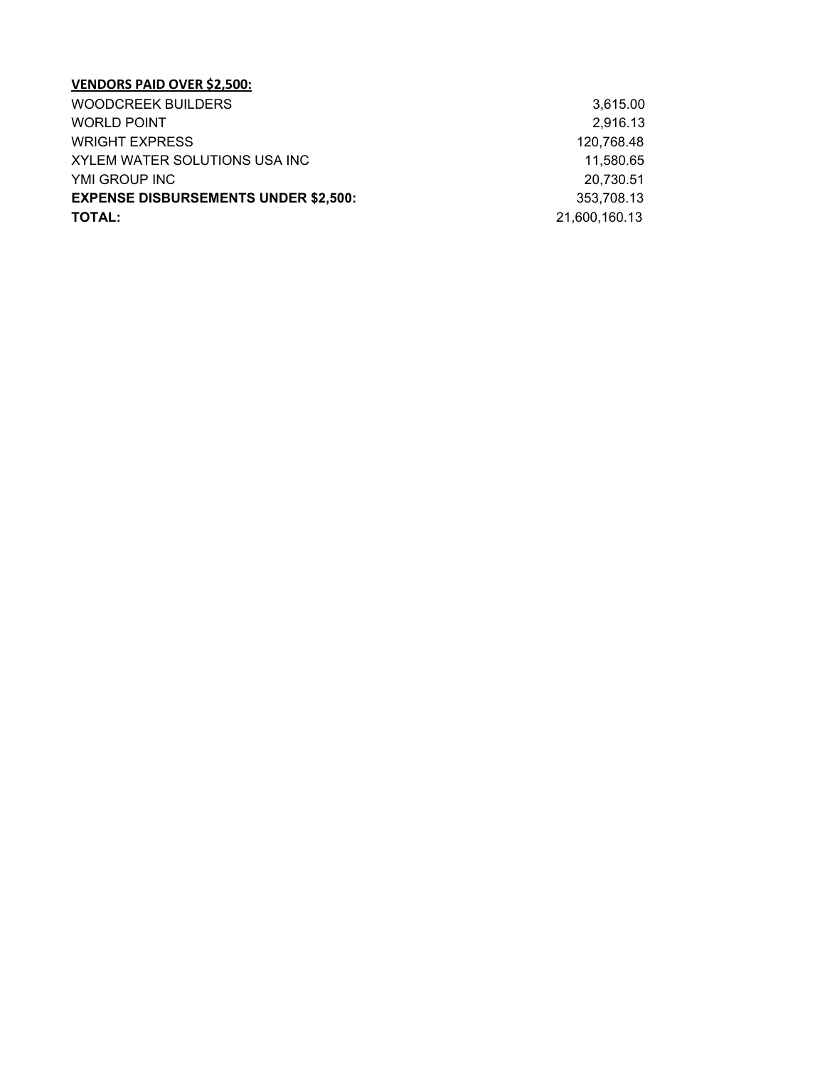| <b>WOODCREEK BUILDERS</b>                   | 3,615.00      |
|---------------------------------------------|---------------|
| <b>WORLD POINT</b>                          | 2,916.13      |
| <b>WRIGHT EXPRESS</b>                       | 120.768.48    |
| XYLEM WATER SOLUTIONS USA INC               | 11.580.65     |
| YMI GROUP INC                               | 20.730.51     |
| <b>EXPENSE DISBURSEMENTS UNDER \$2,500:</b> | 353.708.13    |
| <b>TOTAL:</b>                               | 21,600,160.13 |